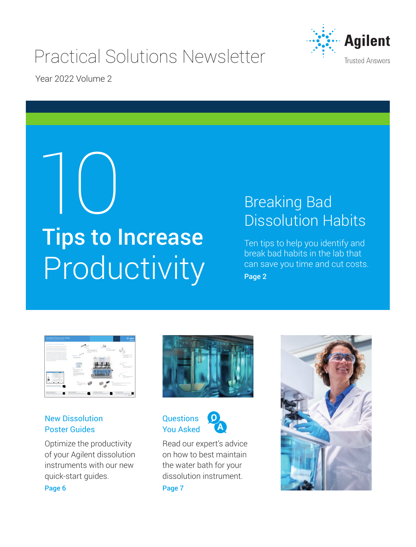# Practical Solutions Newsletter



Year 2022 Volume 2

# 10 Tips to Increase Productivity

# Breaking Bad Dissolution Habits

Ten tips to help you identify and break bad habits in the lab that can save you time and cut costs. [Page 2](#page-1-0)

| Guided Resource Map<br>Asiert 708 CE Dissulation Assembly                                                                                                                                                                                                                                                                                                                                                                                                                                                                                                                                                                                                                                                                                                                                                                   |                                                                                                                                                                                                                                                                     |                                                                                                                                                                  |
|-----------------------------------------------------------------------------------------------------------------------------------------------------------------------------------------------------------------------------------------------------------------------------------------------------------------------------------------------------------------------------------------------------------------------------------------------------------------------------------------------------------------------------------------------------------------------------------------------------------------------------------------------------------------------------------------------------------------------------------------------------------------------------------------------------------------------------|---------------------------------------------------------------------------------------------------------------------------------------------------------------------------------------------------------------------------------------------------------------------|------------------------------------------------------------------------------------------------------------------------------------------------------------------|
| One old form for all dissolution needs.<br>The belief PROTESTICATE Association of attack-<br>and reluce startion for counterfulna dissolution business in<br>star bit. The instrumentations consistent authorizing and<br>touchs and constitution with compared and manufacturing<br>The tradeling design of the TSR-PD pump by any 3 at with money<br>Afterdate man, has a male managers to a mean to<br>configurations be belt discussions survives and online analysis.<br>The mountings the traum for a transformation of<br>change from a particle of second-sings and accuracities buyed.<br>an the foreign facts being hered in addition. But this or also<br>after an adverse assessment in indults account to an<br>Aftern is a put to transport to print to a month a small to<br>and in also than only analyzes. | - To this your site formation and<br>putter in furniture country.<br>- To the course to be continued by<br>Philadelphia<br>-----<br>- STERNHOLM<br><b>CATARING SALE</b>                                                                                             | <b>STATISTICS</b><br>- Williams Techniques<br><b>Scott of Corp. Students</b><br>- THE MENDENHALL<br>Box Stark Winter<br>- Tomorrow Harvard<br><b>By Tal Tree</b> |
|                                                                                                                                                                                                                                                                                                                                                                                                                                                                                                                                                                                                                                                                                                                                                                                                                             | <b>Tal Mar</b><br>- STATISTICS WANTS DAY<br>- North Public and Turbert<br><b>HARASHA</b><br>- Note before some fill the<br><b><i>SOUTHERN PARK PATRICKS</i></b><br><b><i>Schulzmand solute two-sees for</i></b><br>late contact in a closed<br><b>Grand Gallery</b> | - To define a ware old stuck-<br>house of a projection.<br>- THE RESIDENCE OF A REAL<br>ment found made                                                          |
| . .<br>THE TAX REPORT OF A HOME AND REPORTED<br>Total Section Contract and Contracts recommended<br>constitution for a new place on                                                                                                                                                                                                                                                                                                                                                                                                                                                                                                                                                                                                                                                                                         | $\sim$<br>- Williams At these<br>- The first product of the court<br><b>COST</b>                                                                                                                                                                                    | ۰<br>- Turning the company's art of the determined in this case of a<br>- To stret means went in price<br>- THEY top here recently because it                    |
| <b><i><u>Sederick Marrison</u></i></b><br><b>Tracket De Greens McCastles</b><br><b>Manufacturer (September 1978)</b> A start and                                                                                                                                                                                                                                                                                                                                                                                                                                                                                                                                                                                                                                                                                            | <b>Market Artes School</b><br><b>BUTH THAT THE THIRD</b><br><b><i>Information The Arthur and Constitution Company</i></b><br><b>INCREASED CARD IN A 415 THE OCCUPANT OF</b><br><b>The Tele site of contemporary and</b><br>------                                   | <b>Milk Brand School</b><br>out furnished for the furnished and<br>-                                                                                             |

# New Dissolution Poster Guides

Optimize the productivity of your Agilent dissolution instruments with our new quick-start guides. [Page 6](#page-5-0)



**Questions** You Asked



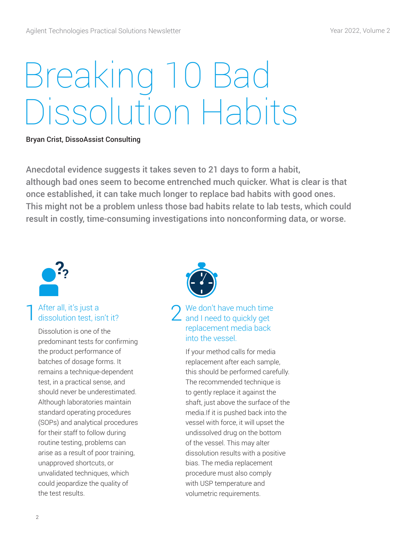# <span id="page-1-0"></span>Breaking 10 Bad Dissolution Habits

#### Bryan Crist, DissoAssist Consulting

Anecdotal evidence suggests it takes seven to 21 days to form a habit, although bad ones seem to become entrenched much quicker. What is clear is that once established, it can take much longer to replace bad habits with good ones. This might not be a problem unless those bad habits relate to lab tests, which could result in costly, time-consuming investigations into nonconforming data, or worse.



#### After all, it's just a dissolution test, isn't it? 1

Dissolution is one of the predominant tests for confirming the product performance of batches of dosage forms. It remains a technique-dependent test, in a practical sense, and should never be underestimated. Although laboratories maintain standard operating procedures (SOPs) and analytical procedures for their staff to follow during routine testing, problems can arise as a result of poor training, unapproved shortcuts, or unvalidated techniques, which could jeopardize the quality of the test results.



# We don't have much time  $2$  We don't have much time<br>and I need to quickly get replacement media back into the vessel.

If your method calls for media replacement after each sample, this should be performed carefully. The recommended technique is to gently replace it against the shaft, just above the surface of the media.If it is pushed back into the vessel with force, it will upset the undissolved drug on the bottom of the vessel. This may alter dissolution results with a positive bias. The media replacement procedure must also comply with USP temperature and volumetric requirements.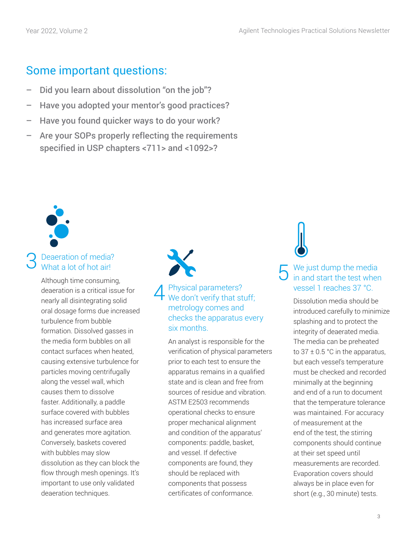# Some important questions:

- Did you learn about dissolution "on the job"?
- Have you adopted your mentor's good practices?
- Have you found quicker ways to do your work?
- Are your SOPs properly reflecting the requirements specified in USP chapters <711> and <1092>?



# Peaeration of media? What a lot of hot airl

Although time consuming, deaeration is a critical issue for nearly all disintegrating solid oral dosage forms due increased turbulence from bubble formation. Dissolved gasses in the media form bubbles on all contact surfaces when heated, causing extensive turbulence for particles moving centrifugally along the vessel wall, which causes them to dissolve faster. Additionally, a paddle surface covered with bubbles has increased surface area and generates more agitation. Conversely, baskets covered with bubbles may slow dissolution as they can block the flow through mesh openings. It's important to use only validated deaeration techniques.

#### Physical parameters? We don't verify that stuff; metrology comes and checks the apparatus every six months. 4

An analyst is responsible for the verification of physical parameters prior to each test to ensure the apparatus remains in a qualified state and is clean and free from sources of residue and vibration. ASTM E2503 recommends operational checks to ensure proper mechanical alignment and condition of the apparatus' components: paddle, basket, and vessel. If defective components are found, they should be replaced with components that possess certificates of conformance.

# 3 Deaeration of media?<br>
3 What a lot of hot air!<br>
Although time consuming,<br>  $\overline{5}$  We just dump the media<br>
in and start the test when vessel 1 reaches 37 °C.

Dissolution media should be introduced carefully to minimize splashing and to protect the integrity of deaerated media. The media can be preheated to  $37 \pm 0.5$  °C in the apparatus, but each vessel's temperature must be checked and recorded minimally at the beginning and end of a run to document that the temperature tolerance was maintained. For accuracy of measurement at the end of the test, the stirring components should continue at their set speed until measurements are recorded. Evaporation covers should always be in place even for short (e.g., 30 minute) tests.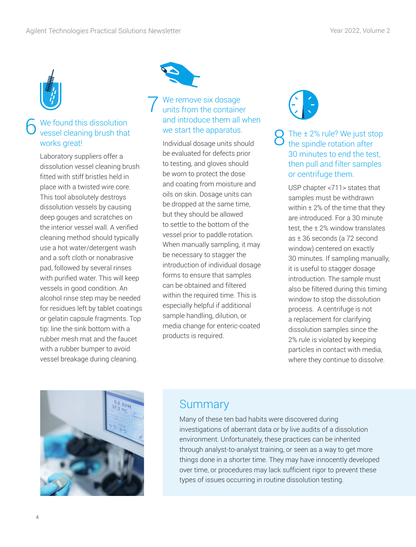

# 6 We found this dissolution vessel cleaning brush that works great!

Laboratory suppliers offer a dissolution vessel cleaning brush fitted with stiff bristles held in place with a twisted wire core. This tool absolutely destroys dissolution vessels by causing deep gouges and scratches on the interior vessel wall. A verified cleaning method should typically use a hot water/detergent wash and a soft cloth or nonabrasive pad, followed by several rinses with purified water. This will keep vessels in good condition. An alcohol rinse step may be needed for residues left by tablet coatings or gelatin capsule fragments. Top tip: line the sink bottom with a rubber mesh mat and the faucet with a rubber bumper to avoid vessel breakage during cleaning.



#### 7 We remove six dosage units from the container and introduce them all when we start the apparatus.

Individual dosage units should be evaluated for defects prior to testing, and gloves should be worn to protect the dose and coating from moisture and oils on skin. Dosage units can be dropped at the same time, but they should be allowed to settle to the bottom of the vessel prior to paddle rotation. When manually sampling, it may be necessary to stagger the introduction of individual dosage forms to ensure that samples can be obtained and filtered within the required time. This is especially helpful if additional sample handling, dilution, or media change for enteric-coated products is required.

The  $\pm$  2% rule? We just stop the spindle rotation after 30 minutes to end the test, then pull and filter samples or centrifuge them.

USP chapter <711> states that samples must be withdrawn within  $\pm 2\%$  of the time that they are introduced. For a 30 minute test, the ± 2% window translates as ± 36 seconds (a 72 second window) centered on exactly 30 minutes. If sampling manually, it is useful to stagger dosage introduction. The sample must also be filtered during this timing window to stop the dissolution process. A centrifuge is not a replacement for clarifying dissolution samples since the 2% rule is violated by keeping particles in contact with media, where they continue to dissolve.



# **Summary**

Many of these ten bad habits were discovered during investigations of aberrant data or by live audits of a dissolution environment. Unfortunately, these practices can be inherited through analyst-to-analyst training, or seen as a way to get more things done in a shorter time. They may have innocently developed over time, or procedures may lack sufficient rigor to prevent these types of issues occurring in routine dissolution testing.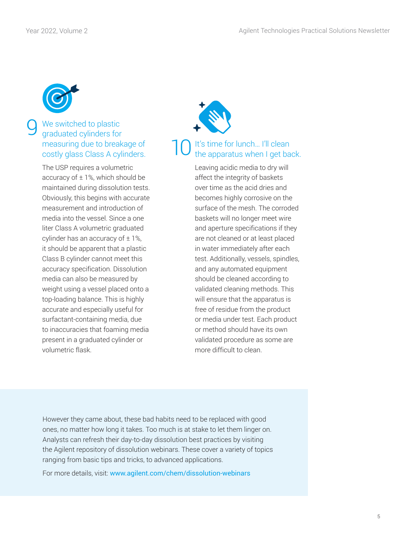

# We switched to plastic graduated cylinders for measuring due to breakage of costly glass Class A cylinders.

The USP requires a volumetric accuracy of  $\pm$  1%, which should be maintained during dissolution tests. Obviously, this begins with accurate measurement and introduction of media into the vessel. Since a one liter Class A volumetric graduated cylinder has an accuracy of  $\pm$  1%, it should be apparent that a plastic Class B cylinder cannot meet this accuracy specification. Dissolution media can also be measured by weight using a vessel placed onto a top-loading balance. This is highly accurate and especially useful for surfactant-containing media, due to inaccuracies that foaming media present in a graduated cylinder or volumetric flask.



#### It's time for lunch... I'll clean the apparatus when I get back. 10

Leaving acidic media to dry will affect the integrity of baskets over time as the acid dries and becomes highly corrosive on the surface of the mesh. The corroded baskets will no longer meet wire and aperture specifications if they are not cleaned or at least placed in water immediately after each test. Additionally, vessels, spindles, and any automated equipment should be cleaned according to validated cleaning methods. This will ensure that the apparatus is free of residue from the product or media under test. Each product or method should have its own validated procedure as some are more difficult to clean.

However they came about, these bad habits need to be replaced with good ones, no matter how long it takes. Too much is at stake to let them linger on. Analysts can refresh their day-to-day dissolution best practices by visiting the Agilent repository of dissolution webinars. These cover a variety of topics ranging from basic tips and tricks, to advanced applications.

For more details, visit: [www.agilent.com/chem/dissolution-webinars](http://www.agilent.com/chem/dissolution-webinars)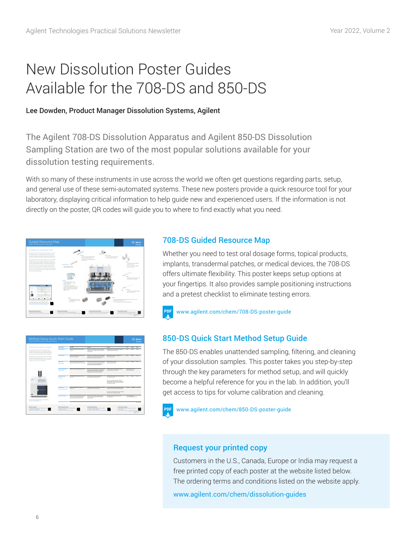# <span id="page-5-0"></span>New Dissolution Poster Guides Available for the 708-DS and 850-DS

### Lee Dowden, Product Manager Dissolution Systems, Agilent

The Agilent 708-DS Dissolution Apparatus and Agilent 850-DS Dissolution Sampling Station are two of the most popular solutions available for your dissolution testing requirements.

With so many of these instruments in use across the world we often get questions regarding parts, setup, and general use of these semi-automated systems. These new posters provide a quick resource tool for your laboratory, displaying critical information to help guide new and experienced users. If the information is not directly on the poster, QR codes will guide you to where to find exactly what you need.



## 708-DS Guided Resource Map

Whether you need to test oral dosage forms, topical products, implants, transdermal patches, or medical devices, the 708-DS offers ultimate flexibility. This poster keeps setup options at your fingertips. It also provides sample positioning instructions and a pretest checklist to eliminate testing errors.



[www.agilent.com/chem/708-DS-poster-guide](http://www.agilent.com/chem/708-DS-poster-guide)



# 850-DS Quick Start Method Setup Guide

The 850-DS enables unattended sampling, filtering, and cleaning of your dissolution samples. This poster takes you step-by-step through the key parameters for method setup, and will quickly become a helpful reference for you in the lab. In addition, you'll get access to tips for volume calibration and cleaning.



# Request your printed copy

Customers in the U.S., Canada, Europe or India may request a free printed copy of each poster at the website listed below. The ordering terms and conditions listed on the website apply.

[www.agilent.com/chem/dissolution-guides](http://www.agilent.com/chem/dissolution-guides)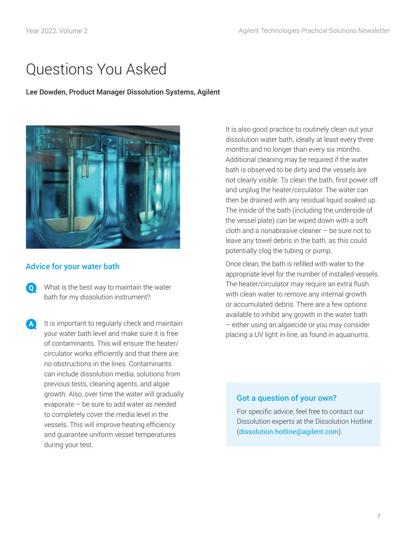# <span id="page-6-0"></span>Questions You Asked

#### Lee Dowden, Product Manager Dissolution Systems, Agilent



## Advice for your water bath

- $\bullet$ What is the best way to maintain the water bath for my dissolution instrument?
- **A** It is important to regularly check and maintain your water bath level and make sure it is free of contaminants. This will ensure the heater/ circulator works efficiently and that there are no obstructions in the lines. Contaminants can include dissolution media, solutions from previous tests, cleaning agents, and algae growth. Also, over time the water will gradually evaporate – be sure to add water as needed to completely cover the media level in the vessels. This will improve heating efficiency and guarantee uniform vessel temperatures during your test.

It is also good practice to routinely clean out your dissolution water bath, ideally at least every three months and no longer than every six months. Additional cleaning may be required if the water bath is observed to be dirty and the vessels are not clearly visible. To clean the bath, first power off and unplug the heater/circulator. The water can then be drained with any residual liquid soaked up. The inside of the bath (including the underside of the vessel plate) can be wiped down with a soft cloth and a nonabrasive cleaner – be sure not to leave any towel debris in the bath, as this could potentially clog the tubing or pump.

Once clean, the bath is refilled with water to the appropriate level for the number of installed vessels. The heater/circulator may require an extra flush with clean water to remove any internal growth or accumulated debris. There are a few options available to inhibit any growth in the water bath – either using an algaecide or you may consider placing a UV light in-line, as found in aquariums.

### Got a question of your own?

For specific advice, feel free to contact our Dissolution experts at the Dissolution Hotline ([dissolution.hotline@agilent.com](mailto:dissolution.hotline@agilent.com)).